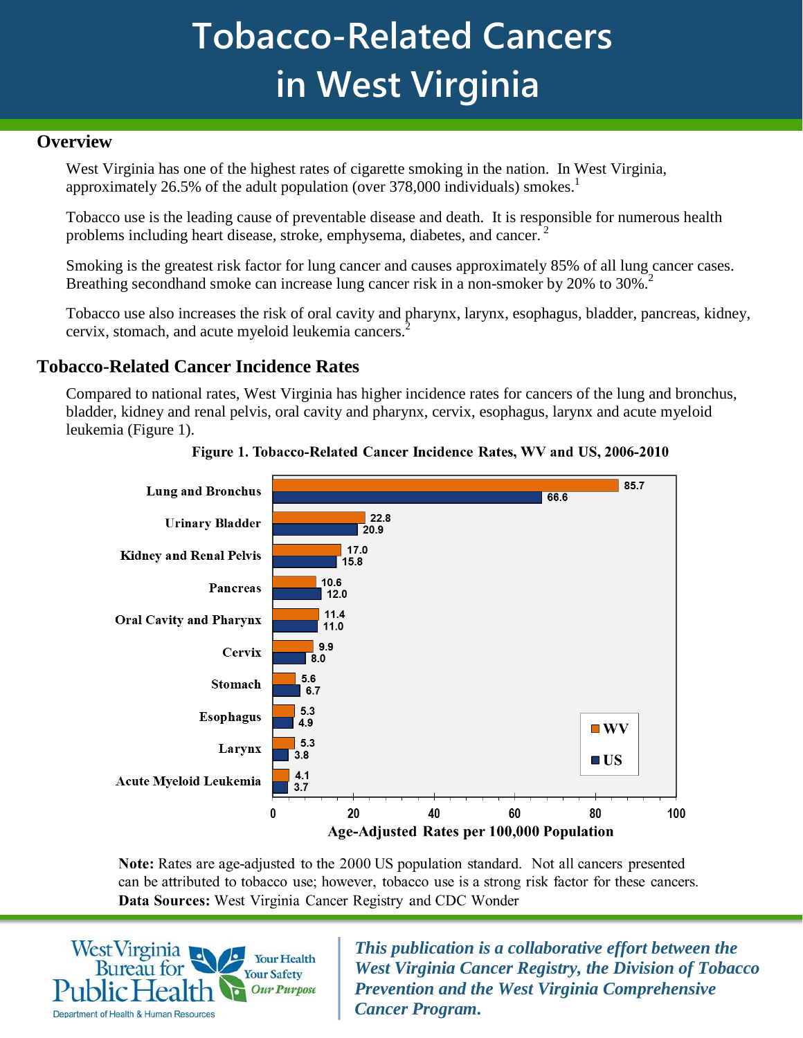# **Tobacco-Related Cancers in West Virginia**

#### **Overview**

West Virginia has one of the highest rates of cigarette smoking in the nation. In West Virginia, approximately 26.5% of the adult population (over 378,000 individuals) smokes.<sup>1</sup>

Tobacco use is the leading cause of preventable disease and death. It is responsible for numerous health problems including heart disease, stroke, emphysema, diabetes, and cancer.<sup>2</sup>

Smoking is the greatest risk factor for lung cancer and causes approximately 85% of all lung cancer cases. Breathing secondhand smoke can increase lung cancer risk in a non-smoker by 20% to 30%.<sup>2</sup>

Tobacco use also increases the risk of oral cavity and pharynx, larynx, esophagus, bladder, pancreas, kidney, cervix, stomach, and acute myeloid leukemia cancers.2

## **Tobacco-Related Cancer Incidence Rates**

Compared to national rates, West Virginia has higher incidence rates for cancers of the lung and bronchus, bladder, kidney and renal pelvis, oral cavity and pharynx, cervix, esophagus, larynx and acute myeloid leukemia (Figure 1).



Figure 1. Tobacco-Related Cancer Incidence Rates, WV and US, 2006-2010

Note: Rates are age-adjusted to the 2000 US population standard. Not all cancers presented can be attributed to tobacco use; however, tobacco use is a strong risk factor for these cancers. Data Sources: West Virginia Cancer Registry and CDC Wonder



*This publication is a collaborative effort between the West Virginia Cancer Registry, the Division of Tobacco Prevention and the West Virginia Comprehensive Cancer Program.*